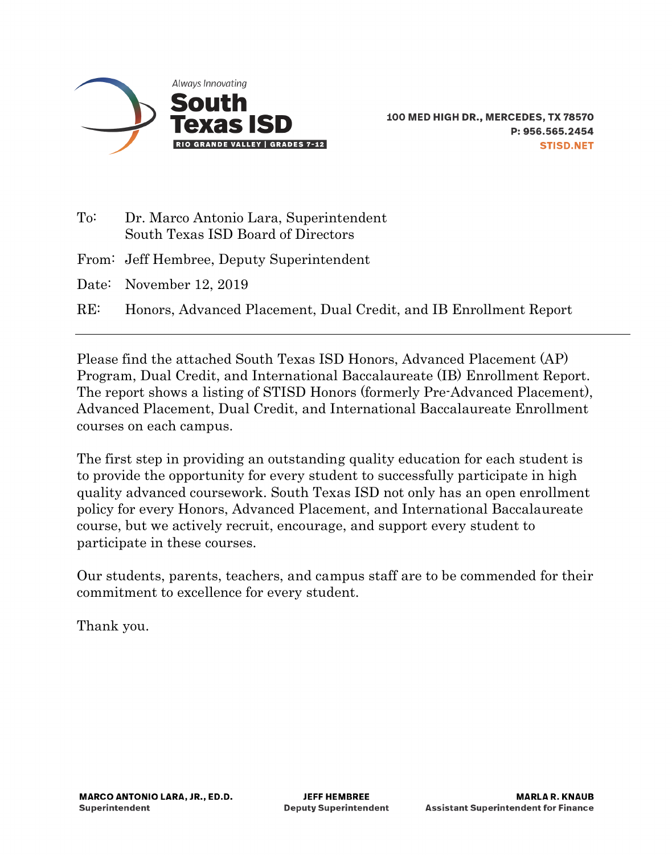

- To: Dr. Marco Antonio Lara, Superintendent South Texas ISD Board of Directors
- From: Jeff Hembree, Deputy Superintendent
- Date: November 12, 2019
- RE: Honors, Advanced Placement, Dual Credit, and IB Enrollment Report

Please find the attached South Texas ISD Honors, Advanced Placement (AP) Program, Dual Credit, and International Baccalaureate (IB) Enrollment Report. The report shows a listing of STISD Honors (formerly Pre-Advanced Placement), Advanced Placement, Dual Credit, and International Baccalaureate Enrollment courses on each campus.

The first step in providing an outstanding quality education for each student is to provide the opportunity for every student to successfully participate in high quality advanced coursework. South Texas ISD not only has an open enrollment policy for every Honors, Advanced Placement, and International Baccalaureate course, but we actively recruit, encourage, and support every student to participate in these courses.

Our students, parents, teachers, and campus staff are to be commended for their commitment to excellence for every student.

Thank you.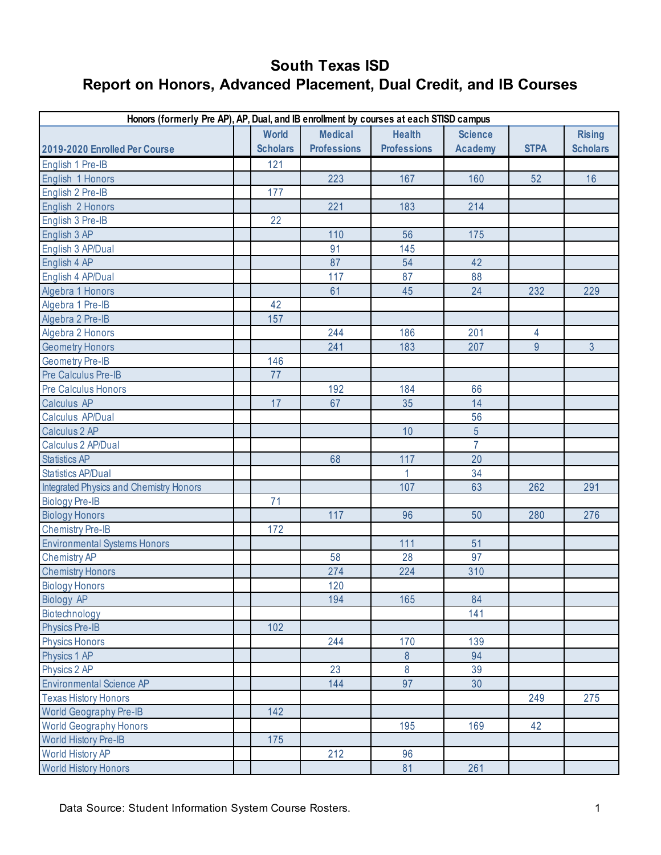| Honors (formerly Pre AP), AP, Dual, and IB enrollment by courses at each STISD campus |  |                 |                    |                    |                |             |                 |  |
|---------------------------------------------------------------------------------------|--|-----------------|--------------------|--------------------|----------------|-------------|-----------------|--|
|                                                                                       |  | <b>World</b>    | <b>Medical</b>     | <b>Health</b>      | <b>Science</b> |             | <b>Rising</b>   |  |
| 2019-2020 Enrolled Per Course                                                         |  | <b>Scholars</b> | <b>Professions</b> | <b>Professions</b> | <b>Academy</b> | <b>STPA</b> | <b>Scholars</b> |  |
| English 1 Pre-IB                                                                      |  | 121             |                    |                    |                |             |                 |  |
| English 1 Honors                                                                      |  |                 | 223                | 167                | 160            | 52          | 16              |  |
| English 2 Pre-IB                                                                      |  | 177             |                    |                    |                |             |                 |  |
| English 2 Honors                                                                      |  |                 | 221                | 183                | 214            |             |                 |  |
| English 3 Pre-IB                                                                      |  | 22              |                    |                    |                |             |                 |  |
| English 3 AP                                                                          |  |                 | 110                | 56                 | 175            |             |                 |  |
| English 3 AP/Dual                                                                     |  |                 | 91                 | 145                |                |             |                 |  |
| English 4 AP                                                                          |  |                 | 87                 | 54                 | 42             |             |                 |  |
| English 4 AP/Dual                                                                     |  |                 | 117                | 87                 | 88             |             |                 |  |
| Algebra 1 Honors                                                                      |  |                 | 61                 | 45                 | 24             | 232         | 229             |  |
| Algebra 1 Pre-IB                                                                      |  | 42              |                    |                    |                |             |                 |  |
| Algebra 2 Pre-IB                                                                      |  | 157             |                    |                    |                |             |                 |  |
| Algebra 2 Honors                                                                      |  |                 | 244                | 186                | 201            | 4           |                 |  |
| <b>Geometry Honors</b>                                                                |  |                 | 241                | 183                | 207            | 9           | $\overline{3}$  |  |
| <b>Geometry Pre-IB</b>                                                                |  | 146             |                    |                    |                |             |                 |  |
| Pre Calculus Pre-IB                                                                   |  | 77              |                    |                    |                |             |                 |  |
| <b>Pre Calculus Honors</b>                                                            |  |                 | 192                | 184                | 66             |             |                 |  |
| Calculus AP                                                                           |  | 17              | 67                 | 35                 | 14             |             |                 |  |
| Calculus AP/Dual                                                                      |  |                 |                    |                    | 56             |             |                 |  |
| Calculus 2 AP                                                                         |  |                 |                    | 10                 | 5              |             |                 |  |
| Calculus 2 AP/Dual                                                                    |  |                 |                    |                    | $\overline{7}$ |             |                 |  |
| <b>Statistics AP</b>                                                                  |  |                 | 68                 | 117                | 20             |             |                 |  |
| <b>Statistics AP/Dual</b>                                                             |  |                 |                    | 1                  | 34             |             |                 |  |
| Integrated Physics and Chemistry Honors                                               |  |                 |                    | 107                | 63             | 262         | 291             |  |
| <b>Biology Pre-IB</b>                                                                 |  | 71              |                    |                    |                |             |                 |  |
| <b>Biology Honors</b>                                                                 |  |                 | 117                | 96                 | 50             | 280         | 276             |  |
| <b>Chemistry Pre-IB</b>                                                               |  | 172             |                    |                    |                |             |                 |  |
| <b>Environmental Systems Honors</b>                                                   |  |                 |                    | 111                | 51             |             |                 |  |
| <b>Chemistry AP</b>                                                                   |  |                 | 58                 | 28                 | 97             |             |                 |  |
| <b>Chemistry Honors</b>                                                               |  |                 | 274                | 224                | 310            |             |                 |  |
| <b>Biology Honors</b>                                                                 |  |                 | 120                |                    |                |             |                 |  |
| <b>Biology AP</b>                                                                     |  |                 | 194                | 165                | 84             |             |                 |  |
| Biotechnology                                                                         |  |                 |                    |                    | 141            |             |                 |  |
| <b>Physics Pre-IB</b>                                                                 |  | 102             |                    |                    |                |             |                 |  |
| <b>Physics Honors</b>                                                                 |  |                 | 244                | 170                | 139            |             |                 |  |
| Physics 1 AP                                                                          |  |                 |                    | $\boldsymbol{8}$   | 94             |             |                 |  |
| Physics 2 AP                                                                          |  |                 | 23                 | 8                  | 39             |             |                 |  |
| <b>Environmental Science AP</b>                                                       |  |                 | 144                | 97                 | 30             |             |                 |  |
| <b>Texas History Honors</b>                                                           |  |                 |                    |                    |                | 249         | 275             |  |
| <b>World Geography Pre-IB</b>                                                         |  | 142             |                    |                    |                |             |                 |  |
| <b>World Geography Honors</b>                                                         |  |                 |                    | 195                | 169            | 42          |                 |  |
| <b>World History Pre-IB</b>                                                           |  | 175             |                    |                    |                |             |                 |  |
| <b>World History AP</b>                                                               |  |                 | 212                | 96                 |                |             |                 |  |
| <b>World History Honors</b>                                                           |  |                 |                    | 81                 | 261            |             |                 |  |

Data Source: Student Information System Course Rosters. 1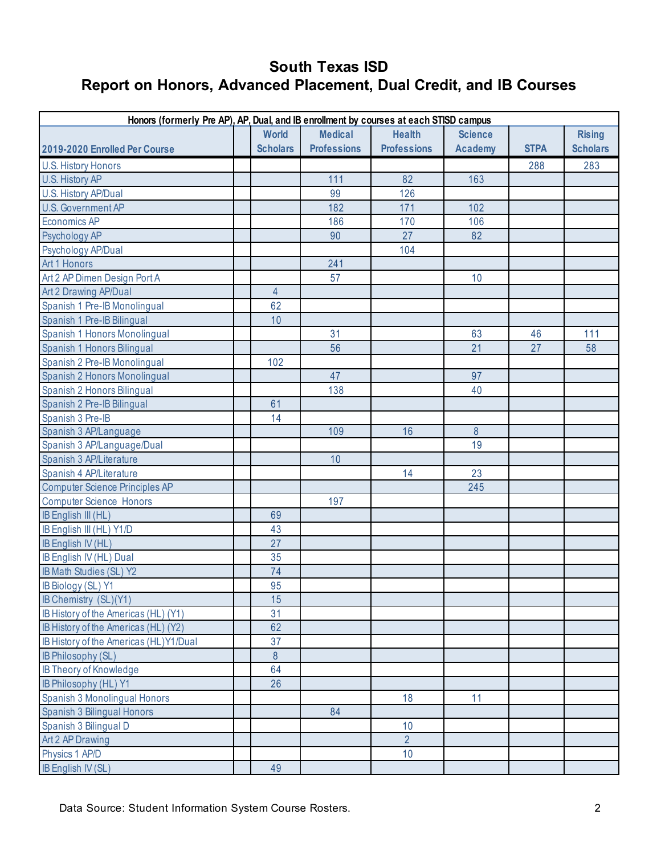| <b>Rising</b><br><b>Scholars</b><br>283 |
|-----------------------------------------|
|                                         |
|                                         |
|                                         |
|                                         |
|                                         |
|                                         |
|                                         |
|                                         |
|                                         |
|                                         |
|                                         |
|                                         |
|                                         |
|                                         |
| 111                                     |
| 58                                      |
|                                         |
|                                         |
|                                         |
|                                         |
|                                         |
|                                         |
|                                         |
|                                         |
|                                         |
|                                         |
|                                         |
|                                         |
|                                         |
|                                         |
|                                         |
|                                         |
|                                         |
|                                         |
|                                         |
|                                         |
|                                         |
|                                         |
|                                         |
|                                         |
|                                         |
|                                         |
|                                         |
|                                         |
|                                         |
|                                         |
|                                         |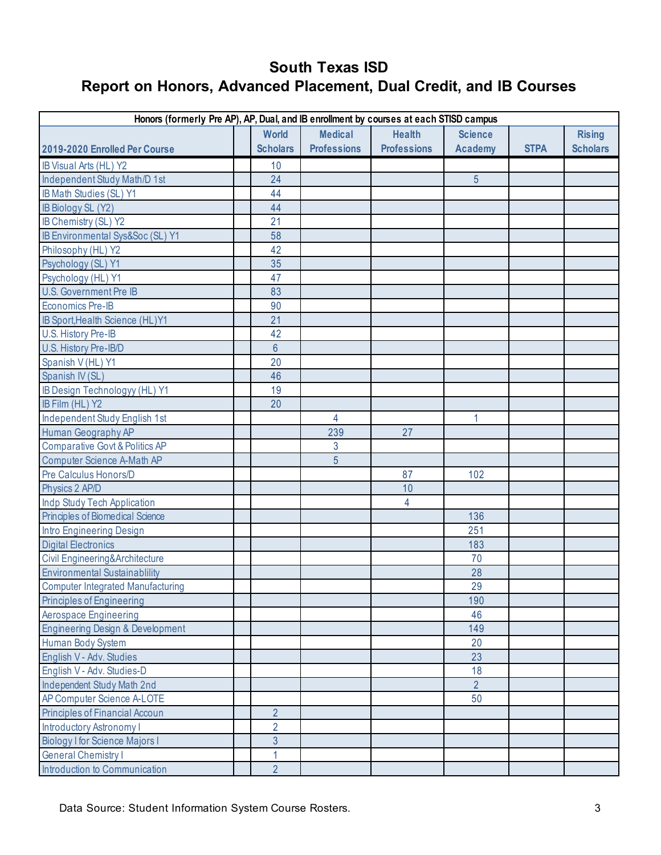| Honors (formerly Pre AP), AP, Dual, and IB enrollment by courses at each STISD campus |  |                 |                    |                    |                |             |                 |
|---------------------------------------------------------------------------------------|--|-----------------|--------------------|--------------------|----------------|-------------|-----------------|
|                                                                                       |  | <b>World</b>    | <b>Medical</b>     | <b>Health</b>      | <b>Science</b> |             | <b>Rising</b>   |
| 2019-2020 Enrolled Per Course                                                         |  | <b>Scholars</b> | <b>Professions</b> | <b>Professions</b> | <b>Academy</b> | <b>STPA</b> | <b>Scholars</b> |
| IB Visual Arts (HL) Y2                                                                |  | 10              |                    |                    |                |             |                 |
| Independent Study Math/D 1st                                                          |  | 24              |                    |                    | $\overline{5}$ |             |                 |
| IB Math Studies (SL) Y1                                                               |  | 44              |                    |                    |                |             |                 |
| IB Biology SL (Y2)                                                                    |  | 44              |                    |                    |                |             |                 |
| IB Chemistry (SL) Y2                                                                  |  | 21              |                    |                    |                |             |                 |
| IB Environmental Sys&Soc (SL) Y1                                                      |  | 58              |                    |                    |                |             |                 |
| Philosophy (HL) Y2                                                                    |  | 42              |                    |                    |                |             |                 |
| Psychology (SL) Y1                                                                    |  | 35              |                    |                    |                |             |                 |
| Psychology (HL) Y1                                                                    |  | 47              |                    |                    |                |             |                 |
| U.S. Government Pre IB                                                                |  | 83              |                    |                    |                |             |                 |
| <b>Economics Pre-IB</b>                                                               |  | 90              |                    |                    |                |             |                 |
| IB Sport, Health Science (HL)Y1                                                       |  | 21              |                    |                    |                |             |                 |
| U.S. History Pre-IB                                                                   |  | 42              |                    |                    |                |             |                 |
| U.S. History Pre-IB/D                                                                 |  | $6\phantom{1}6$ |                    |                    |                |             |                 |
| Spanish V (HL) Y1                                                                     |  | 20              |                    |                    |                |             |                 |
| Spanish IV (SL)                                                                       |  | 46              |                    |                    |                |             |                 |
| IB Design Technologyy (HL) Y1                                                         |  | 19              |                    |                    |                |             |                 |
| IB Film (HL) Y2                                                                       |  | 20              |                    |                    |                |             |                 |
| Independent Study English 1st                                                         |  |                 | 4                  |                    | 1              |             |                 |
| Human Geography AP                                                                    |  |                 | 239                | 27                 |                |             |                 |
| <b>Comparative Govt &amp; Politics AP</b>                                             |  |                 | $\mathbf{3}$       |                    |                |             |                 |
| <b>Computer Science A-Math AP</b>                                                     |  |                 | 5                  |                    |                |             |                 |
| Pre Calculus Honors/D                                                                 |  |                 |                    | 87                 | 102            |             |                 |
| Physics 2 AP/D                                                                        |  |                 |                    | 10                 |                |             |                 |
| Indp Study Tech Application                                                           |  |                 |                    | 4                  |                |             |                 |
| Principles of Biomedical Science                                                      |  |                 |                    |                    | 136            |             |                 |
| Intro Engineering Design                                                              |  |                 |                    |                    | 251            |             |                 |
| <b>Digital Electronics</b>                                                            |  |                 |                    |                    | 183            |             |                 |
| Civil Engineering&Architecture                                                        |  |                 |                    |                    | 70             |             |                 |
| <b>Environmental Sustainablility</b>                                                  |  |                 |                    |                    | 28             |             |                 |
| <b>Computer Integrated Manufacturing</b>                                              |  |                 |                    |                    | 29             |             |                 |
| <b>Principles of Engineering</b>                                                      |  |                 |                    |                    | 190            |             |                 |
| <b>Aerospace Engineering</b>                                                          |  |                 |                    |                    | 46             |             |                 |
| <b>Engineering Design &amp; Development</b>                                           |  |                 |                    |                    | 149            |             |                 |
| Human Body System                                                                     |  |                 |                    |                    | 20             |             |                 |
| English V - Adv. Studies                                                              |  |                 |                    |                    | 23             |             |                 |
| English V - Adv. Studies-D                                                            |  |                 |                    |                    | 18             |             |                 |
| Independent Study Math 2nd                                                            |  |                 |                    |                    | $\overline{2}$ |             |                 |
| AP Computer Science A-LOTE                                                            |  |                 |                    |                    | 50             |             |                 |
| <b>Principles of Financial Accoun</b>                                                 |  | $\overline{2}$  |                    |                    |                |             |                 |
| <b>Introductory Astronomy I</b>                                                       |  | $\overline{2}$  |                    |                    |                |             |                 |
| <b>Biology I for Science Majors I</b>                                                 |  | 3               |                    |                    |                |             |                 |
| <b>General Chemistry I</b>                                                            |  | $\overline{1}$  |                    |                    |                |             |                 |
| Introduction to Communication                                                         |  | $\overline{2}$  |                    |                    |                |             |                 |